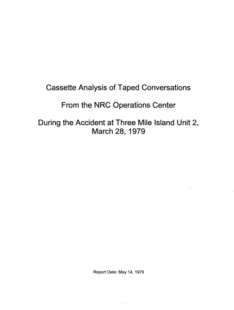# Cassette Analysis of Taped Conversations

# From the NRC Operations Center

During the Accident at Three Mile Island Unit 2, March 28, 1979

Report Date: May 14, 1979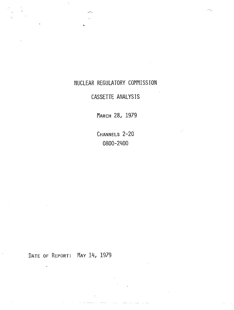# NUCLEAR REGULATORY COMMISSION

# CASSETTE ANALYSIS

MARCH 28, 1979

CHANNELS 2-20 0800-2400

DATE OF REPORT: MAY 14, 1979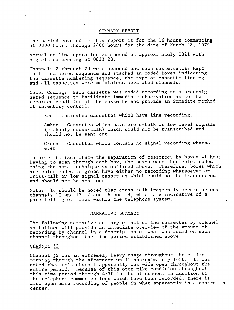#### SUMMARY REPORT

The period covered in this report is for the 16 hours commencing at 0800 hours through 2400 hours for the date of March 28, 1979.

Actual on-line operation commenced at approximately 0821 with signals commencing at 0823.23.

Channels 2 through 20 were scanned and each cassette.was kept in its numbered sequence and stacked in coded boxes indicating the cassette numbering sequence, the type of cassette finding and all cassettes were maintained separated channels.

Color Coding: Each cassette was coded according to a predesignated sequence to facilitate immediate observation as to the recorded condition of the cassette and provide an immedate method of inventory control:

Red - Indicates cassettes which have line recording.

Amber - Cassettes which have cross-talk or low level signals (probably cross-talk) which could not be transcribed and should not be sent out.

Green - Cassettes which contain no signal recording whatsoever.

In order to facilitate the separation of cassettes by boxes without having to scan through each box, the boxes were then color coded using the same technique as outlined above. Therefore, boxes which are color coded in green have either no recording whatsoever or cross-talk or low signal cassettes which could not be transcribed and should not be sent out.

Note: It should be noted that cross-talk frequently occurs across channels 10 and 12, 2 and 16 and 18, which are indicative of a parellelling of lines within the telephone system.

# NARRATIVE SUMMARY

The following narrative summary of all of the cassettes by channel as follows will provide an immediate overview of the amount of recording by channel in a description of what was found on each channel throughout the time period established above.

# CHANNEL  $#2$  :

Channel #2 was in extremely heavy usage throughout the entire morning through the afternoon until approximately 1630. It was noted that this channel apparently was wide open throughout the entire period. Because of this open mike condition throughout this time period through 4:30 in the afternoon, in addition to the telephone communications which have been recorded, there is also open mike recording of people in what apparently is a controlled center.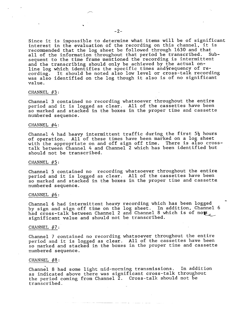Since it is impossible to determine what items will be of significant interest in the evaluation of the recording on this channel. it is recommended that the log sheet be followed through 1630 and that all of the information throughout that period be transcribed. Subsequent to the time frame mentioned the recording is intermittent and the transcribing should only be achieved by the actual online log which identifies the specific times and $\,\rm{r}$ equency of recording. It should be noted also low level or cross-talk recording was also identified on the log though it also is of no significant value.

#### CHANNEL  $#3$ :

Channel 3 contained no recording whatsoever throughout the entire period and it is logged as clear. All of the cassettes have been so marked and stacked in the boxes in the proper time and cassette numbered sequence.

#### CHANNEL  $#4:$

Channel 4 had heavy intermittent traffic during the first  $5\frac{1}{2}$  hours of operation. All of these times have been marked on a log sheet with the appropriate on and off sign off time. There is also crosstalk between Channel 4 and Channel 2 which has been identified but should not be transcribed.

#### CHANNEL  $#5:$

Channel 5 contained no recording whatsoever throughout the entire period and it is logged as clear. All of the cassettes have been so marked and stacked in the boxes in the proper time and cassette numbered sequence.

#### CHANNEL  $#6:$

Channel 6 had intermittent heavy recording which has been logged by sign and sign off time on the log sheet. In addition. Channel 6 had cross-talk between Channel 2 and Channel 8 which is of no $\epsilon$ significant value and should not be transcribed.

#### CHANNEL  $#7:$

Channel 7 contained no recording whatsoever throughout the entire period and it is logged as clear. All of the cassettes have been so marked and stacked in the boxes in the proper time and cassette numbered sequence.

# CHANNEL #8:

- Channel 8 had some light mid-morning transmissions. In addition as indicated above there was significant cross-talk throughout the period coming from Channel 2. Cross-talk should not be transcribed.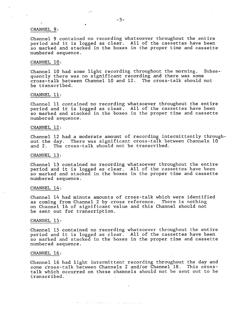# CHANNEL 9:

Channel 9 contained no recording whatsoever throughout the entire period and it is logged as clear. All of the cassettes have been so marked and stacked in the boxes in the proper time and cassette numbered sequence.

# CHANNEL 10:

Channel 10 had some light recording throughout the morning. Subsequently there was no significant recording and there was some cross-talk between Channel 10 and 12. The cross-talk should not be transcribed.

# CHANNEL 11:

Channel 11 contained no recording whatsoever throughout the entire period and it is logged as clear. All of the cassettes have been so marked and stacked in the boxes in the proper time and cassette numbered sequence.

#### CHANNEL 12:

Channel 12 had a moderate amount of recording intermittently throughout the day. There was significant cross-talk between Channels 10 and 2. The cross-talk should not be transcribed.

# CHANNEL 13:

Channel 13 contained no recording whatsoever throughout the entire period and it is logged as clear. All of the cassettes have been so marked and stacked in the boxes in the proper time and cassette numbered sequence.

#### CHANNEL 14:

Channel 14 had minute amounts of cross-talk which were identified as coming from Channel 2 by cross reference. There is nothing on Channel 14 of significant value and this Channel should not be sent out for transcription.

#### CHANNEL 15:

Channel 15 contained no recording whatsoever throughout the entire period and it is logged as clear. All of the cassettes have been so marked and stacked in the boxes in the proper time and cassette numbered sequence.

# CHANNEL 16:

Channel 16 had light intermittent recording throughout the day and some cross-talk between Channels 2 and/or Channel 18. This crosstalk which occurred on these channels should not be sent out to be transcribed.

الأراد المعامل متسلم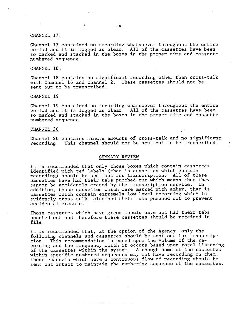# CHANNEL 17:

Channel 17 contained no recording whatsoever throughout the entire period and it is logged as clear. All of the cassettes have been so marked and stacked in the boxes in the proper time and cassette numbered sequence.

# CHANNEL 18:

Channel 18 contains no significant recording other than cross-talk with Channel 16 and Channel 2. These cassettes should not be sent out to be transcribed.

#### CHANNEL 19

Channel 19 contained no recording whatsoever throughout the entire period and it is logged as clear. All of the cassettes have been so marked and stacked in the boxes in the proper time and cassette numbered sequence. .

#### CHANNEL 20

Channel 20 contains minute amounts of cross-talk and no significant recording. This channel should not be sent out to be transcribed.

# SUMMARY REVIEW

It is recommended that only those boxes which contain cassettes identified with red labels (that is cassettes which contain recording) should be sent out for transcription. All of these cassettes have had their tabs punched out which means that they<br>cannot be accidently erased by the transcription service. In cannot be accidently erased by the transcription service. addition, those cassettes which were marked with amber, that is cassettes which contain extremely low level recording which is evidently cross-talk, also had their tabs punched out to prevent accidental erasure.

Those cassettes which have green labels have not had their tabs punched out and therefore these cassettes should be retained in file.

we was a second  $\hat{r}$  . The contract of  $\hat{r}$ 

It is recommended that, at the option of the Agency, only the following channels and cassettes should be sent out for transcription. This recommendation is based upon the volume of the recording and the frequency which it occurs based upon total listening of the cassettes within the system. Although some of the cassettes within specific numbered sequences may not have recording on them, those channels which have a continuous flow of recording should be sent out intact to maintain the numbering sequence of the cassettes.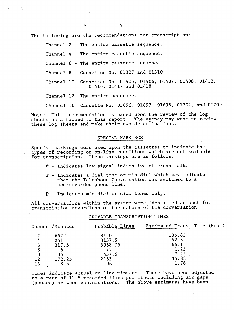The following are the recommendations for transcription:

Channel <sup>2</sup> - The entire cassette sequence.

Channel 4 - The entire cassette sequence.

Channel <sup>6</sup> - The entire cassette sequence.

Channel 8 - Cassettes No. 01307 and 01310.

Channel 10 Cassettes No. 01405, 01406, 01407, 01408, 01412, 01416, 01417 and 01418

Channel 12 The entire sequence.

Channel 16 Cassette No. 01696, 01697, 01698, 01702, and 01709.

Note: This recommendation is based upon the review of the log sheets as attached to this report. The Agency may want to review these log sheets and make their own determinations.

# SPECIAL MARKINGS

Special markings were used upon the cassettes to indicate the types of recording or on-line conditions which are not suitable for transcription. These markings are as follows:

- \* Indicates low signal indicative of cross-talk.
- T Indicates a dial tone or mis-dial which may indicate that the Telephone Conversation was switched to a non-recorded phone line.
- D Indicates mis-dial or dial tones only.

All conversations within the system were identified as such for transcription regardless of the nature of the conversation.

PROBABLE TRANSCRIPTION TIMES

| Channel/Minutes |        | Probable Lines | Estimated Trans. Time (Hrs.) |  |
|-----------------|--------|----------------|------------------------------|--|
| ּ               | 652"   | 8150           | 135.83                       |  |
|                 | 251    | 3137.5         | 52.3                         |  |
| 6               | 317.5  | 3968.75        | 66.15                        |  |
| 8               |        | 75             | 1.25                         |  |
| 10              | 35     | 437.5          | 7.25                         |  |
| 12              | 172.25 | 2153           | 35.88                        |  |
| 16              |        | 106            | 1.76                         |  |

Times indicate actual on-line minutes. These have been adjusted to a rate of 12.5 recorded lines per minute including air gaps (pauses) between conversations. The above estimates have been

where  $\alpha$  is a stronger of the contribution of  $\alpha$